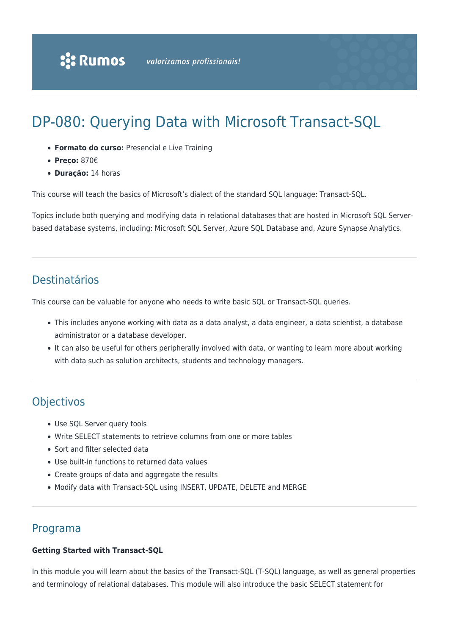# DP-080: Querying Data with Microsoft Transact-SQL

- **Formato do curso:** Presencial e Live Training
- **Preço:** 870€
- **Duração:** 14 horas

This course will teach the basics of Microsoft's dialect of the standard SQL language: Transact-SQL.

Topics include both querying and modifying data in relational databases that are hosted in Microsoft SQL Serverbased database systems, including: Microsoft SQL Server, Azure SQL Database and, Azure Synapse Analytics.

# Destinatários

This course can be valuable for anyone who needs to write basic SQL or Transact-SQL queries.

- This includes anyone working with data as a data analyst, a data engineer, a data scientist, a database administrator or a database developer.
- It can also be useful for others peripherally involved with data, or wanting to learn more about working with data such as solution architects, students and technology managers.

# **Objectivos**

- Use SQL Server query tools
- Write SELECT statements to retrieve columns from one or more tables
- Sort and filter selected data
- Use built-in functions to returned data values
- Create groups of data and aggregate the results
- Modify data with Transact-SQL using INSERT, UPDATE, DELETE and MERGE

# Programa

#### **Getting Started with Transact-SQL**

In this module you will learn about the basics of the Transact-SQL (T-SQL) language, as well as general properties and terminology of relational databases. This module will also introduce the basic SELECT statement for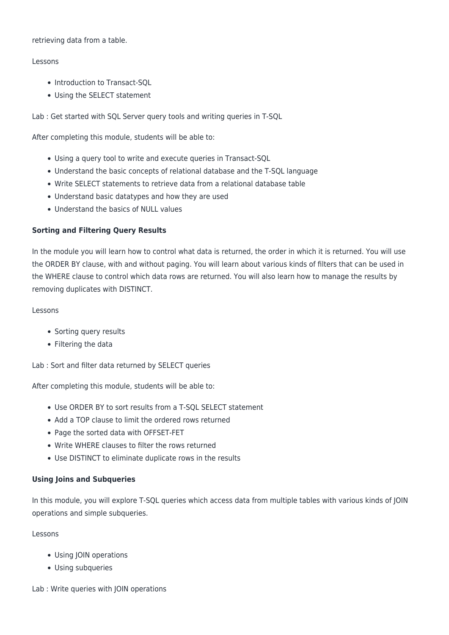#### retrieving data from a table.

#### Lessons

- Introduction to Transact-SOL
- Using the SELECT statement

Lab : Get started with SQL Server query tools and writing queries in T-SQL

After completing this module, students will be able to:

- Using a query tool to write and execute queries in Transact-SQL
- Understand the basic concepts of relational database and the T-SQL language
- Write SELECT statements to retrieve data from a relational database table
- Understand basic datatypes and how they are used
- Understand the basics of NULL values

## **Sorting and Filtering Query Results**

In the module you will learn how to control what data is returned, the order in which it is returned. You will use the ORDER BY clause, with and without paging. You will learn about various kinds of filters that can be used in the WHERE clause to control which data rows are returned. You will also learn how to manage the results by removing duplicates with DISTINCT.

#### Lessons

- Sorting query results
- Filtering the data

Lab : Sort and filter data returned by SELECT queries

After completing this module, students will be able to:

- Use ORDER BY to sort results from a T-SQL SELECT statement
- Add a TOP clause to limit the ordered rows returned
- Page the sorted data with OFFSET-FET
- Write WHERE clauses to filter the rows returned
- Use DISTINCT to eliminate duplicate rows in the results

## **Using Joins and Subqueries**

In this module, you will explore T-SQL queries which access data from multiple tables with various kinds of JOIN operations and simple subqueries.

Lessons

- Using JOIN operations
- Using subqueries

Lab : Write queries with JOIN operations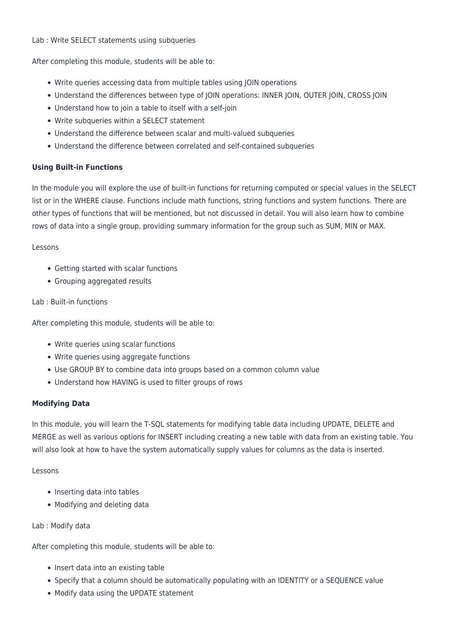#### Lab : Write SELECT statements using subqueries

After completing this module, students will be able to:

- Write queries accessing data from multiple tables using JOIN operations
- Understand the differences between type of JOIN operations: INNER JOIN, OUTER JOIN, CROSS JOIN
- Understand how to join a table to itself with a self-join
- Write subqueries within a SELECT statement
- Understand the difference between scalar and multi-valued subqueries
- Understand the difference between correlated and self-contained subqueries

## **Using Built-in Functions**

In the module you will explore the use of built-in functions for returning computed or special values in the SELECT list or in the WHERE clause. Functions include math functions, string functions and system functions. There are other types of functions that will be mentioned, but not discussed in detail. You will also learn how to combine rows of data into a single group, providing summary information for the group such as SUM, MIN or MAX.

#### Lessons

- Getting started with scalar functions
- Grouping aggregated results

## Lab : Built-in functions

After completing this module, students will be able to:

- Write queries using scalar functions
- Write queries using aggregate functions
- Use GROUP BY to combine data into groups based on a common column value
- Understand how HAVING is used to filter groups of rows

## **Modifying Data**

In this module, you will learn the T-SQL statements for modifying table data including UPDATE, DELETE and MERGE as well as various options for INSERT including creating a new table with data from an existing table. You will also look at how to have the system automatically supply values for columns as the data is inserted.

## Lessons

- Inserting data into tables
- Modifying and deleting data

## Lab : Modify data

After completing this module, students will be able to:

- Insert data into an existing table
- Specify that a column should be automatically populating with an IDENTITY or a SEQUENCE value
- Modify data using the UPDATE statement